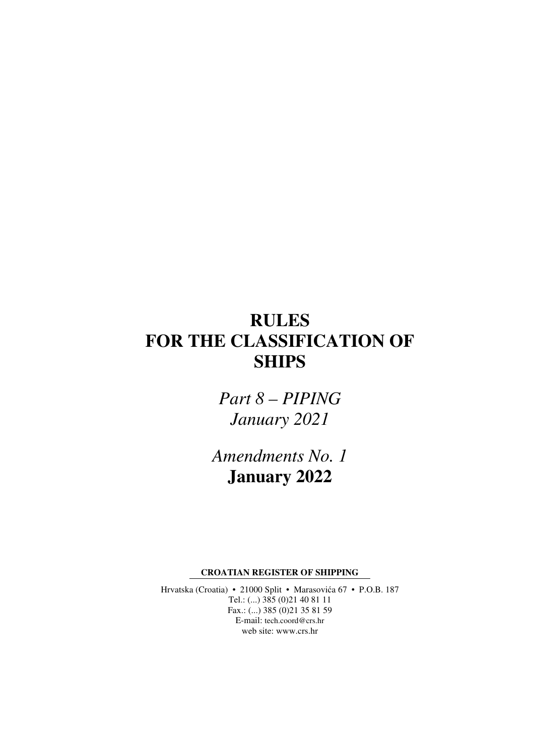# **RULES FOR THE CLASSIFICATION OF SHIPS**

*Part 8 – PIPING January 2021* 

*Amendments No. 1*  **January 2022** 

**CROATIAN REGISTER OF SHIPPING** 

Hrvatska (Croatia) • 21000 Split • Marasovića 67 • P.O.B. 187 Tel.: (...) 385 (0)21 40 81 11 Fax.: (...) 385 (0)21 35 81 59 E-mail: tech.coord@crs.hr web site: www.crs.hr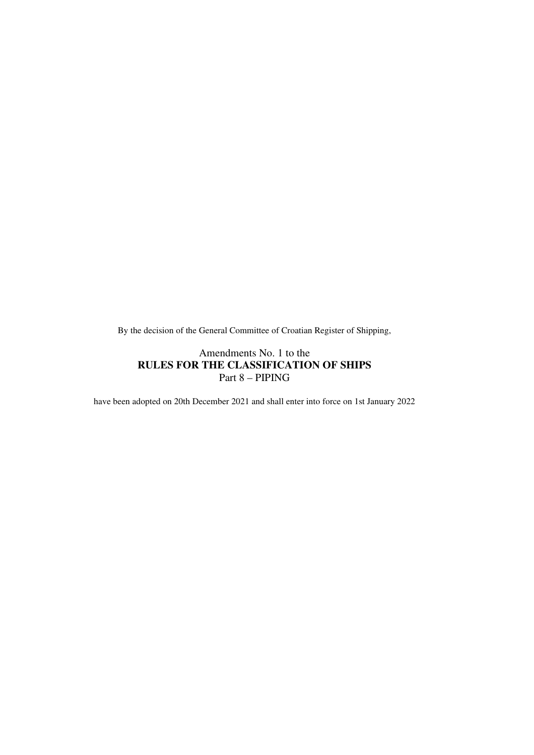By the decision of the General Committee of Croatian Register of Shipping,

#### Amendments No. 1 to the **RULES FOR THE CLASSIFICATION OF SHIPS**  Part 8 – PIPING

have been adopted on 20th December 2021 and shall enter into force on 1st January 2022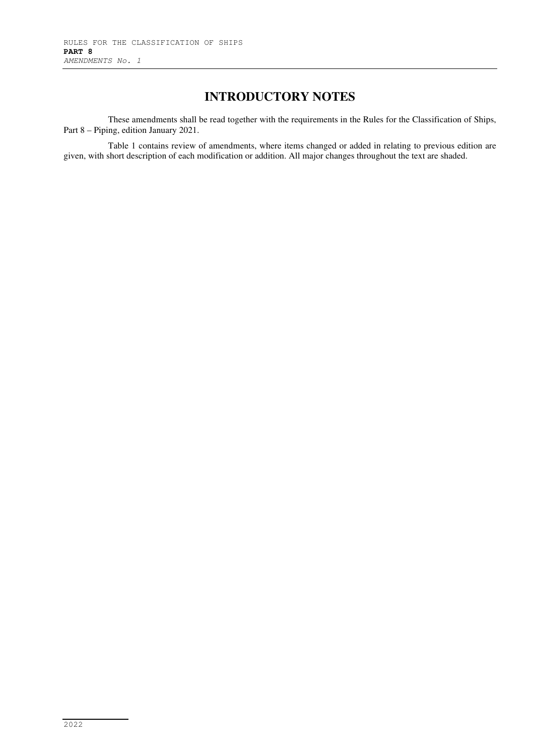### **INTRODUCTORY NOTES**

These amendments shall be read together with the requirements in the Rules for the Classification of Ships, Part 8 – Piping, edition January 2021.

Table 1 contains review of amendments, where items changed or added in relating to previous edition are given, with short description of each modification or addition. All major changes throughout the text are shaded.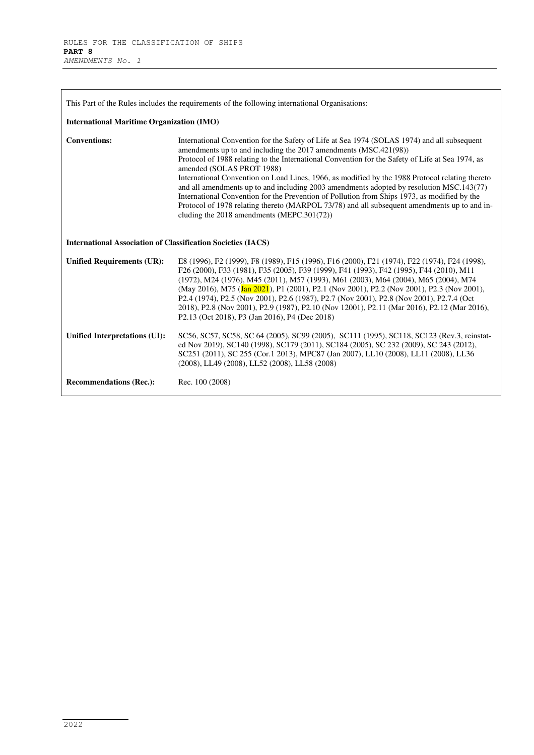| This Part of the Rules includes the requirements of the following international Organisations: |                                                                                                                                                                                                                                                                                                                                                                                                                                                                                                                                                                                                                                                                                                                                               |  |
|------------------------------------------------------------------------------------------------|-----------------------------------------------------------------------------------------------------------------------------------------------------------------------------------------------------------------------------------------------------------------------------------------------------------------------------------------------------------------------------------------------------------------------------------------------------------------------------------------------------------------------------------------------------------------------------------------------------------------------------------------------------------------------------------------------------------------------------------------------|--|
| <b>International Maritime Organization (IMO)</b>                                               |                                                                                                                                                                                                                                                                                                                                                                                                                                                                                                                                                                                                                                                                                                                                               |  |
| <b>Conventions:</b>                                                                            | International Convention for the Safety of Life at Sea 1974 (SOLAS 1974) and all subsequent<br>amendments up to and including the 2017 amendments (MSC.421(98))<br>Protocol of 1988 relating to the International Convention for the Safety of Life at Sea 1974, as<br>amended (SOLAS PROT 1988)<br>International Convention on Load Lines, 1966, as modified by the 1988 Protocol relating thereto<br>and all amendments up to and including 2003 amendments adopted by resolution MSC.143(77)<br>International Convention for the Prevention of Pollution from Ships 1973, as modified by the<br>Protocol of 1978 relating thereto (MARPOL 73/78) and all subsequent amendments up to and in-<br>cluding the 2018 amendments (MEPC.301(72)) |  |
| <b>International Association of Classification Societies (IACS)</b>                            |                                                                                                                                                                                                                                                                                                                                                                                                                                                                                                                                                                                                                                                                                                                                               |  |
| <b>Unified Requirements (UR):</b>                                                              | E8 (1996), F2 (1999), F8 (1989), F15 (1996), F16 (2000), F21 (1974), F22 (1974), F24 (1998),<br>F26 (2000), F33 (1981), F35 (2005), F39 (1999), F41 (1993), F42 (1995), F44 (2010), M11<br>(1972), M24 (1976), M45 (2011), M57 (1993), M61 (2003), M64 (2004), M65 (2004), M74<br>(May 2016), M75 (Jan 2021), P1 (2001), P2.1 (Nov 2001), P2.2 (Nov 2001), P2.3 (Nov 2001),<br>P2.4 (1974), P2.5 (Nov 2001), P2.6 (1987), P2.7 (Nov 2001), P2.8 (Nov 2001), P2.7.4 (Oct<br>2018), P2.8 (Nov 2001), P2.9 (1987), P2.10 (Nov 12001), P2.11 (Mar 2016), P2.12 (Mar 2016),<br>P2.13 (Oct 2018), P3 (Jan 2016), P4 (Dec 2018)                                                                                                                      |  |
| Unified Interpretations (UI):                                                                  | SC56, SC57, SC58, SC 64 (2005), SC99 (2005), SC111 (1995), SC118, SC123 (Rev.3, reinstat-<br>ed Nov 2019), SC140 (1998), SC179 (2011), SC184 (2005), SC 232 (2009), SC 243 (2012),<br>SC251 (2011), SC 255 (Cor.1 2013), MPC87 (Jan 2007), LL10 (2008), LL11 (2008), LL36<br>(2008), LL49 (2008), LL52 (2008), LL58 (2008)                                                                                                                                                                                                                                                                                                                                                                                                                    |  |
| <b>Recommendations (Rec.):</b>                                                                 | Rec. 100 (2008)                                                                                                                                                                                                                                                                                                                                                                                                                                                                                                                                                                                                                                                                                                                               |  |

L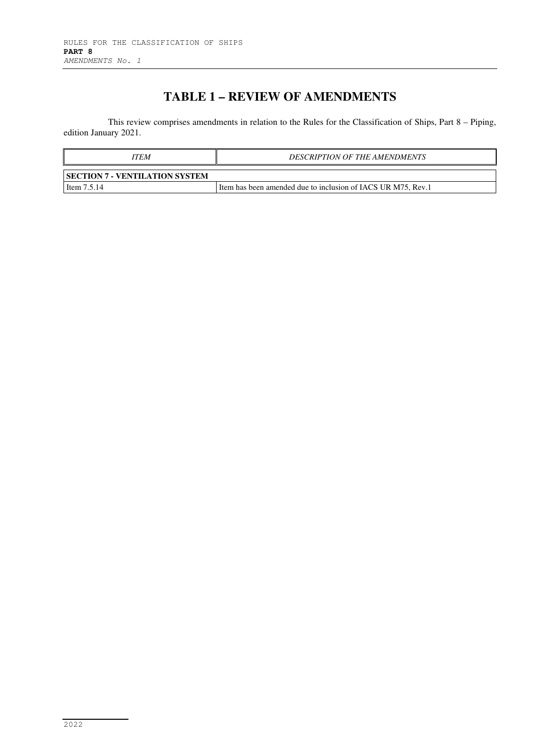## **TABLE 1 – REVIEW OF AMENDMENTS**

This review comprises amendments in relation to the Rules for the Classification of Ships, Part 8 – Piping, edition January 2021.

| ITEM                                  | <b>DESCRIPTION OF THE AMENDMENTS</b>                         |
|---------------------------------------|--------------------------------------------------------------|
| <b>SECTION 7 - VENTILATION SYSTEM</b> |                                                              |
| Item $7.5.14$                         | Item has been amended due to inclusion of IACS UR M75, Rev.1 |